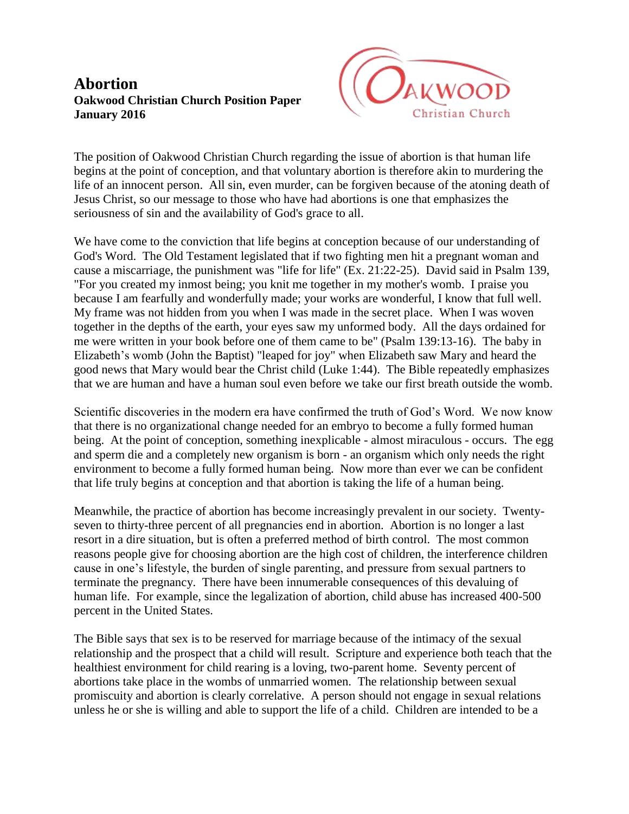## **Abortion Oakwood Christian Church Position Paper January 2016**



The position of Oakwood Christian Church regarding the issue of abortion is that human life begins at the point of conception, and that voluntary abortion is therefore akin to murdering the life of an innocent person. All sin, even murder, can be forgiven because of the atoning death of Jesus Christ, so our message to those who have had abortions is one that emphasizes the seriousness of sin and the availability of God's grace to all.

We have come to the conviction that life begins at conception because of our understanding of God's Word. The Old Testament legislated that if two fighting men hit a pregnant woman and cause a miscarriage, the punishment was "life for life" (Ex. 21:22-25). David said in Psalm 139, "For you created my inmost being; you knit me together in my mother's womb. I praise you because I am fearfully and wonderfully made; your works are wonderful, I know that full well. My frame was not hidden from you when I was made in the secret place. When I was woven together in the depths of the earth, your eyes saw my unformed body. All the days ordained for me were written in your book before one of them came to be" (Psalm 139:13-16). The baby in Elizabeth's womb (John the Baptist) "leaped for joy" when Elizabeth saw Mary and heard the good news that Mary would bear the Christ child (Luke 1:44). The Bible repeatedly emphasizes that we are human and have a human soul even before we take our first breath outside the womb.

Scientific discoveries in the modern era have confirmed the truth of God's Word. We now know that there is no organizational change needed for an embryo to become a fully formed human being. At the point of conception, something inexplicable - almost miraculous - occurs. The egg and sperm die and a completely new organism is born - an organism which only needs the right environment to become a fully formed human being. Now more than ever we can be confident that life truly begins at conception and that abortion is taking the life of a human being.

Meanwhile, the practice of abortion has become increasingly prevalent in our society. Twentyseven to thirty-three percent of all pregnancies end in abortion. Abortion is no longer a last resort in a dire situation, but is often a preferred method of birth control. The most common reasons people give for choosing abortion are the high cost of children, the interference children cause in one's lifestyle, the burden of single parenting, and pressure from sexual partners to terminate the pregnancy. There have been innumerable consequences of this devaluing of human life. For example, since the legalization of abortion, child abuse has increased 400-500 percent in the United States.

The Bible says that sex is to be reserved for marriage because of the intimacy of the sexual relationship and the prospect that a child will result. Scripture and experience both teach that the healthiest environment for child rearing is a loving, two-parent home. Seventy percent of abortions take place in the wombs of unmarried women. The relationship between sexual promiscuity and abortion is clearly correlative. A person should not engage in sexual relations unless he or she is willing and able to support the life of a child. Children are intended to be a